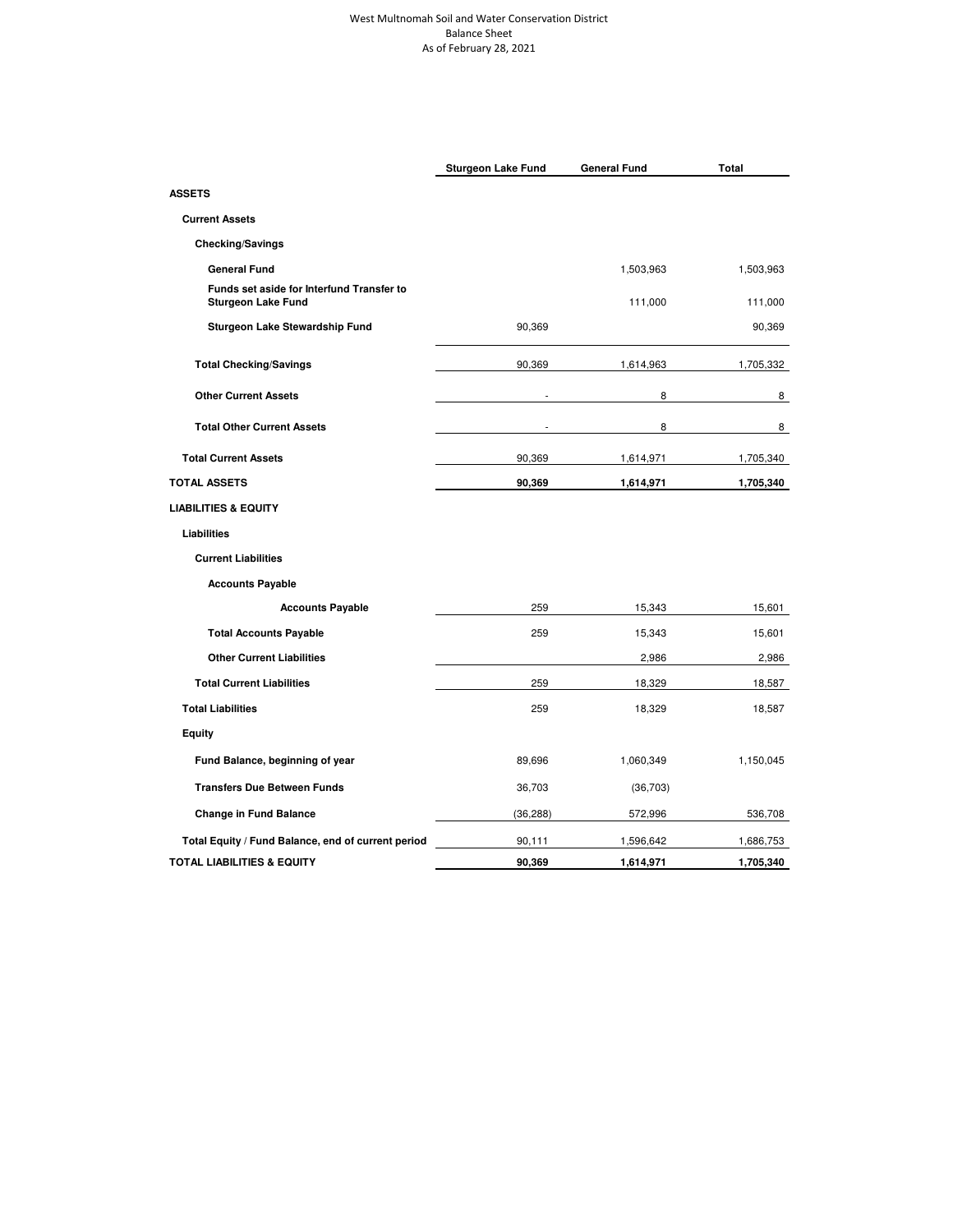### West Multnomah Soil and Water Conservation District Balance Sheet As of February 28, 2021

|                                                                        | <b>Sturgeon Lake Fund</b> | <b>General Fund</b> | Total     |
|------------------------------------------------------------------------|---------------------------|---------------------|-----------|
| <b>ASSETS</b>                                                          |                           |                     |           |
| <b>Current Assets</b>                                                  |                           |                     |           |
| <b>Checking/Savings</b>                                                |                           |                     |           |
| <b>General Fund</b>                                                    |                           | 1,503,963           | 1,503,963 |
| Funds set aside for Interfund Transfer to<br><b>Sturgeon Lake Fund</b> |                           | 111,000             | 111,000   |
| Sturgeon Lake Stewardship Fund                                         | 90,369                    |                     | 90,369    |
| <b>Total Checking/Savings</b>                                          | 90,369                    | 1,614,963           | 1,705,332 |
| <b>Other Current Assets</b>                                            |                           | 8                   | 8         |
| <b>Total Other Current Assets</b>                                      |                           | 8                   | 8         |
| <b>Total Current Assets</b>                                            | 90,369                    | 1,614,971           | 1,705,340 |
| <b>TOTAL ASSETS</b>                                                    | 90,369                    | 1,614,971           | 1,705,340 |
| <b>LIABILITIES &amp; EQUITY</b>                                        |                           |                     |           |
| Liabilities                                                            |                           |                     |           |
| <b>Current Liabilities</b>                                             |                           |                     |           |
| <b>Accounts Payable</b>                                                |                           |                     |           |
| <b>Accounts Payable</b>                                                | 259                       | 15,343              | 15,601    |
| <b>Total Accounts Payable</b>                                          | 259                       | 15,343              | 15,601    |
| <b>Other Current Liabilities</b>                                       |                           | 2,986               | 2,986     |
| <b>Total Current Liabilities</b>                                       | 259                       | 18,329              | 18,587    |
| <b>Total Liabilities</b>                                               | 259                       | 18,329              | 18,587    |
| Equity                                                                 |                           |                     |           |
| Fund Balance, beginning of year                                        | 89,696                    | 1,060,349           | 1,150,045 |
| <b>Transfers Due Between Funds</b>                                     | 36,703                    | (36,703)            |           |
| <b>Change in Fund Balance</b>                                          | (36, 288)                 | 572,996             | 536,708   |
| Total Equity / Fund Balance, end of current period                     | 90,111                    | 1,596,642           | 1,686,753 |
| <b>TOTAL LIABILITIES &amp; EQUITY</b>                                  | 90,369                    | 1,614,971           | 1,705,340 |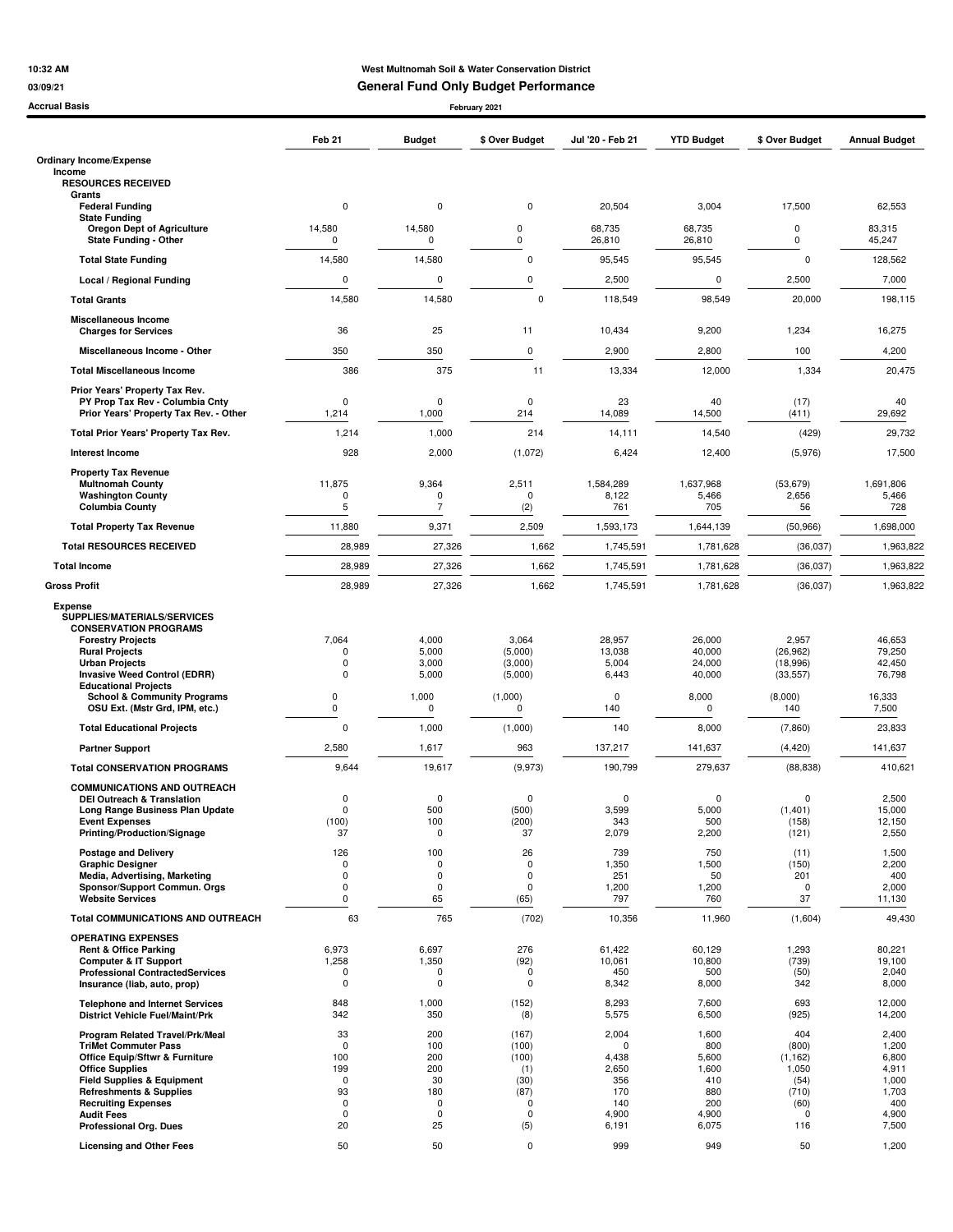## **10:32 AM West Multnomah Soil & Water Conservation District**

**03/09/21 General Fund Only Budget Performance**

| Accrual Basis                                                                                                                                                                                                                                                                                            |                                                                                      |                                                                           | February 2021                                                                       |                                                                               |                                                                       |                                                                                  |                                                                             |
|----------------------------------------------------------------------------------------------------------------------------------------------------------------------------------------------------------------------------------------------------------------------------------------------------------|--------------------------------------------------------------------------------------|---------------------------------------------------------------------------|-------------------------------------------------------------------------------------|-------------------------------------------------------------------------------|-----------------------------------------------------------------------|----------------------------------------------------------------------------------|-----------------------------------------------------------------------------|
|                                                                                                                                                                                                                                                                                                          | Feb 21                                                                               | <b>Budget</b>                                                             | \$ Over Budget                                                                      | Jul '20 - Feb 21                                                              | <b>YTD Budget</b>                                                     | \$ Over Budget                                                                   | <b>Annual Budget</b>                                                        |
| <b>Ordinary Income/Expense</b>                                                                                                                                                                                                                                                                           |                                                                                      |                                                                           |                                                                                     |                                                                               |                                                                       |                                                                                  |                                                                             |
| Income<br><b>RESOURCES RECEIVED</b>                                                                                                                                                                                                                                                                      |                                                                                      |                                                                           |                                                                                     |                                                                               |                                                                       |                                                                                  |                                                                             |
| Grants<br><b>Federal Funding</b>                                                                                                                                                                                                                                                                         | $\mathbf 0$                                                                          | $\mathbf 0$                                                               | $\pmb{0}$                                                                           | 20,504                                                                        | 3,004                                                                 | 17,500                                                                           | 62,553                                                                      |
| <b>State Funding</b>                                                                                                                                                                                                                                                                                     | 14,580                                                                               |                                                                           | 0                                                                                   | 68,735                                                                        | 68,735                                                                | 0                                                                                | 83,315                                                                      |
| <b>Oregon Dept of Agriculture</b><br><b>State Funding - Other</b>                                                                                                                                                                                                                                        | 0                                                                                    | 14,580<br>0                                                               | 0                                                                                   | 26,810                                                                        | 26,810                                                                | 0                                                                                | 45,247                                                                      |
| <b>Total State Funding</b>                                                                                                                                                                                                                                                                               | 14,580                                                                               | 14,580                                                                    | $\pmb{0}$                                                                           | 95,545                                                                        | 95,545                                                                | $\mathbf 0$                                                                      | 128,562                                                                     |
| Local / Regional Funding                                                                                                                                                                                                                                                                                 | $\mathbf 0$                                                                          | 0                                                                         | 0                                                                                   | 2,500                                                                         | 0                                                                     | 2,500                                                                            | 7,000                                                                       |
| <b>Total Grants</b>                                                                                                                                                                                                                                                                                      | 14,580                                                                               | 14,580                                                                    | $\mathbf 0$                                                                         | 118,549                                                                       | 98,549                                                                | 20,000                                                                           | 198,115                                                                     |
| <b>Miscellaneous Income</b>                                                                                                                                                                                                                                                                              |                                                                                      |                                                                           |                                                                                     |                                                                               |                                                                       |                                                                                  |                                                                             |
| <b>Charges for Services</b>                                                                                                                                                                                                                                                                              | 36                                                                                   | 25                                                                        | 11                                                                                  | 10,434                                                                        | 9,200                                                                 | 1,234                                                                            | 16,275                                                                      |
| Miscellaneous Income - Other                                                                                                                                                                                                                                                                             | 350                                                                                  | 350                                                                       | 0                                                                                   | 2,900                                                                         | 2,800                                                                 | 100                                                                              | 4,200                                                                       |
| <b>Total Miscellaneous Income</b>                                                                                                                                                                                                                                                                        | 386                                                                                  | 375                                                                       | 11                                                                                  | 13,334                                                                        | 12,000                                                                | 1,334                                                                            | 20,475                                                                      |
| Prior Years' Property Tax Rev.<br>PY Prop Tax Rev - Columbia Cnty<br>Prior Years' Property Tax Rev. - Other                                                                                                                                                                                              | $\Omega$<br>1,214                                                                    | 0<br>1,000                                                                | 0<br>214                                                                            | 23<br>14,089                                                                  | 40<br>14,500                                                          | (17)<br>(411)                                                                    | 40<br>29,692                                                                |
| Total Prior Years' Property Tax Rev.                                                                                                                                                                                                                                                                     | 1,214                                                                                | 1,000                                                                     | 214                                                                                 | 14,111                                                                        | 14,540                                                                | (429)                                                                            | 29,732                                                                      |
| <b>Interest Income</b>                                                                                                                                                                                                                                                                                   | 928                                                                                  | 2,000                                                                     | (1,072)                                                                             | 6,424                                                                         | 12,400                                                                | (5,976)                                                                          | 17,500                                                                      |
| <b>Property Tax Revenue</b>                                                                                                                                                                                                                                                                              |                                                                                      |                                                                           |                                                                                     |                                                                               |                                                                       |                                                                                  |                                                                             |
| <b>Multnomah County</b><br><b>Washington County</b>                                                                                                                                                                                                                                                      | 11,875<br>$\Omega$                                                                   | 9,364<br>0                                                                | 2,511<br>0                                                                          | 1,584,289<br>8,122                                                            | 1,637,968<br>5,466                                                    | (53, 679)<br>2,656                                                               | 1,691,806<br>5,466                                                          |
| <b>Columbia County</b>                                                                                                                                                                                                                                                                                   | 5                                                                                    | $\overline{7}$                                                            | (2)                                                                                 | 761                                                                           | 705                                                                   | 56                                                                               | 728                                                                         |
| <b>Total Property Tax Revenue</b>                                                                                                                                                                                                                                                                        | 11,880                                                                               | 9,371                                                                     | 2,509                                                                               | 1,593,173                                                                     | 1,644,139                                                             | (50, 966)                                                                        | 1,698,000                                                                   |
| <b>Total RESOURCES RECEIVED</b>                                                                                                                                                                                                                                                                          | 28,989                                                                               | 27,326                                                                    | 1,662                                                                               | 1,745,591                                                                     | 1,781,628                                                             | (36, 037)                                                                        | 1,963,822                                                                   |
| <b>Total Income</b>                                                                                                                                                                                                                                                                                      | 28,989                                                                               | 27,326                                                                    | 1,662                                                                               | 1,745,591                                                                     | 1,781,628                                                             | (36, 037)                                                                        | 1,963,822                                                                   |
| <b>Gross Profit</b>                                                                                                                                                                                                                                                                                      | 28,989                                                                               | 27,326                                                                    | 1,662                                                                               | 1,745,591                                                                     | 1,781,628                                                             | (36,037)                                                                         | 1,963,822                                                                   |
| <b>Expense</b><br>SUPPLIES/MATERIALS/SERVICES<br><b>CONSERVATION PROGRAMS</b><br><b>Forestry Projects</b><br><b>Rural Projects</b><br><b>Urban Projects</b>                                                                                                                                              | 7,064<br>0<br>$\Omega$                                                               | 4,000<br>5,000<br>3,000                                                   | 3,064<br>(5,000)<br>(3,000)                                                         | 28,957<br>13,038<br>5,004                                                     | 26,000<br>40,000<br>24,000                                            | 2,957<br>(26, 962)<br>(18,996)                                                   | 46,653<br>79,250<br>42,450                                                  |
| <b>Invasive Weed Control (EDRR)</b><br><b>Educational Projects</b><br><b>School &amp; Community Programs</b>                                                                                                                                                                                             | $\Omega$<br>$\pmb{0}$                                                                | 5,000<br>1,000                                                            | (5,000)<br>(1,000)                                                                  | 6,443<br>0                                                                    | 40,000<br>8,000                                                       | (33, 557)<br>(8,000)                                                             | 76,798<br>16,333                                                            |
| OSU Ext. (Mstr Grd, IPM, etc.)                                                                                                                                                                                                                                                                           | 0                                                                                    | 0                                                                         | 0                                                                                   | 140                                                                           | 0                                                                     | 140                                                                              | 7,500                                                                       |
| <b>Total Educational Projects</b>                                                                                                                                                                                                                                                                        | $\Omega$                                                                             | 1,000                                                                     | (1,000)                                                                             | 140                                                                           | 8,000                                                                 | (7,860)                                                                          | 23,833                                                                      |
| <b>Partner Support</b>                                                                                                                                                                                                                                                                                   | 2,580                                                                                | 1,617                                                                     | 963                                                                                 | 137,217                                                                       | 141,637                                                               | (4, 420)                                                                         | 141,637                                                                     |
| <b>Total CONSERVATION PROGRAMS</b>                                                                                                                                                                                                                                                                       | 9,644                                                                                | 19,617                                                                    | (9,973)                                                                             | 190,799                                                                       | 279,637                                                               | (88, 838)                                                                        | 410,621                                                                     |
| <b>COMMUNICATIONS AND OUTREACH</b><br><b>DEI Outreach &amp; Translation</b><br>Long Range Business Plan Update<br><b>Event Expenses</b>                                                                                                                                                                  | $\Omega$<br>$\pmb{0}$<br>(100)                                                       | $\Omega$<br>500<br>100                                                    | 0<br>(500)<br>(200)                                                                 | 0<br>3,599<br>343                                                             | 0<br>5,000<br>500                                                     | $\mathbf 0$<br>(1,401)<br>(158)                                                  | 2,500<br>15,000<br>12,150                                                   |
| Printing/Production/Signage                                                                                                                                                                                                                                                                              | 37                                                                                   | 0                                                                         | 37                                                                                  | 2,079                                                                         | 2,200                                                                 | (121)                                                                            | 2,550                                                                       |
| <b>Postage and Delivery</b><br><b>Graphic Designer</b>                                                                                                                                                                                                                                                   | 126<br>$\mathbf 0$                                                                   | 100<br>$\mathbf 0$                                                        | 26<br>$\mathbf 0$                                                                   | 739<br>1,350                                                                  | 750<br>1,500                                                          | (11)<br>(150)                                                                    | 1,500<br>2,200                                                              |
| Media, Advertising, Marketing<br>Sponsor/Support Commun. Orgs                                                                                                                                                                                                                                            | 0<br>$\Omega$                                                                        | $\mathbf 0$<br>$\mathbf 0$                                                | 0                                                                                   | 251                                                                           | 50                                                                    | 201<br>$\mathbf 0$                                                               | 400                                                                         |
| <b>Website Services</b>                                                                                                                                                                                                                                                                                  | 0                                                                                    | 65                                                                        | $\pmb{0}$<br>(65)                                                                   | 1,200<br>797                                                                  | 1,200<br>760                                                          | 37                                                                               | 2,000<br>11,130                                                             |
| <b>Total COMMUNICATIONS AND OUTREACH</b>                                                                                                                                                                                                                                                                 | 63                                                                                   | 765                                                                       | (702)                                                                               | 10,356                                                                        | 11,960                                                                | (1,604)                                                                          | 49,430                                                                      |
| <b>OPERATING EXPENSES</b><br><b>Rent &amp; Office Parking</b><br><b>Computer &amp; IT Support</b><br><b>Professional ContractedServices</b>                                                                                                                                                              | 6,973<br>1,258<br>$\mathbf 0$                                                        | 6,697<br>1,350<br>0                                                       | 276<br>(92)<br>$\mathbf 0$                                                          | 61,422<br>10,061<br>450                                                       | 60,129<br>10,800<br>500                                               | 1,293<br>(739)<br>(50)                                                           | 80,221<br>19,100<br>2,040                                                   |
| Insurance (liab, auto, prop)                                                                                                                                                                                                                                                                             | $\mathbf 0$                                                                          | $\mathbf 0$                                                               | $\mathbf 0$                                                                         | 8,342                                                                         | 8,000                                                                 | 342                                                                              | 8,000                                                                       |
| <b>Telephone and Internet Services</b><br><b>District Vehicle Fuel/Maint/Prk</b>                                                                                                                                                                                                                         | 848<br>342                                                                           | 1,000<br>350                                                              | (152)<br>(8)                                                                        | 8,293<br>5,575                                                                | 7,600<br>6,500                                                        | 693<br>(925)                                                                     | 12,000<br>14,200                                                            |
| Program Related Travel/Prk/Meal<br><b>TriMet Commuter Pass</b><br><b>Office Equip/Sftwr &amp; Furniture</b><br><b>Office Supplies</b><br><b>Field Supplies &amp; Equipment</b><br><b>Refreshments &amp; Supplies</b><br><b>Recruiting Expenses</b><br><b>Audit Fees</b><br><b>Professional Org. Dues</b> | 33<br>$\mathbf 0$<br>100<br>199<br>$\pmb{0}$<br>93<br>$\mathbf 0$<br>$\pmb{0}$<br>20 | 200<br>100<br>200<br>200<br>30<br>180<br>$\mathbf 0$<br>$\mathbf 0$<br>25 | (167)<br>(100)<br>(100)<br>(1)<br>(30)<br>(87)<br>$\mathbf 0$<br>$\mathbf 0$<br>(5) | 2,004<br>$\mathbf 0$<br>4,438<br>2,650<br>356<br>170<br>140<br>4,900<br>6,191 | 1,600<br>800<br>5,600<br>1,600<br>410<br>880<br>200<br>4,900<br>6,075 | 404<br>(800)<br>(1, 162)<br>1,050<br>(54)<br>(710)<br>(60)<br>$\mathbf 0$<br>116 | 2,400<br>1,200<br>6,800<br>4,911<br>1,000<br>1,703<br>400<br>4,900<br>7,500 |
| <b>Licensing and Other Fees</b>                                                                                                                                                                                                                                                                          | 50                                                                                   | 50                                                                        | $\pmb{0}$                                                                           | 999                                                                           | 949                                                                   | 50                                                                               | 1,200                                                                       |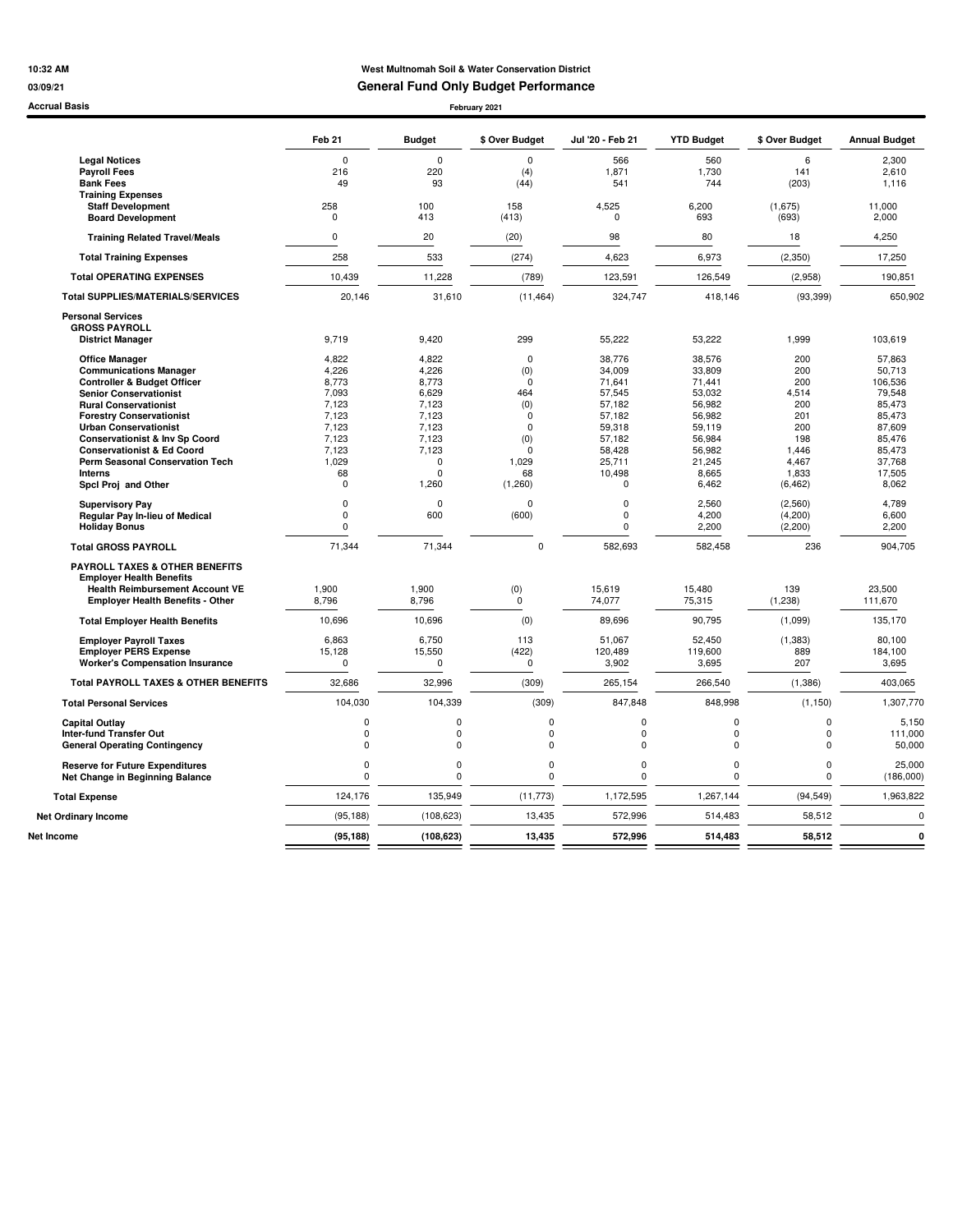## **10:32 AM West Multnomah Soil & Water Conservation District 03/09/21 General Fund Only Budget Performance**

#### **Accrual Basis February 2021**

|                                                 | Feb <sub>21</sub> | <b>Budget</b> | \$ Over Budget | Jul '20 - Feb 21 | <b>YTD Budget</b> | \$ Over Budget | <b>Annual Budget</b> |
|-------------------------------------------------|-------------------|---------------|----------------|------------------|-------------------|----------------|----------------------|
| <b>Legal Notices</b>                            | $\Omega$          | $\Omega$      | $\Omega$       | 566              | 560               | 6              | 2.300                |
| <b>Payroll Fees</b>                             | 216               | 220           | (4)            | 1,871            | 1,730             | 141            | 2,610                |
| <b>Bank Fees</b>                                | 49                | 93            | (44)           | 541              | 744               | (203)          | 1,116                |
| <b>Training Expenses</b>                        |                   |               |                |                  |                   |                |                      |
| <b>Staff Development</b>                        | 258               | 100           | 158            | 4,525            | 6,200             | (1,675)        | 11,000               |
| <b>Board Development</b>                        | 0                 | 413           | (413)          | 0                | 693               | (693)          | 2,000                |
| <b>Training Related Travel/Meals</b>            | $\mathbf 0$       | 20            | (20)           | 98               | 80                | 18             | 4,250                |
| <b>Total Training Expenses</b>                  | 258               | 533           | (274)          | 4,623            | 6,973             | (2, 350)       | 17,250               |
| <b>Total OPERATING EXPENSES</b>                 | 10,439            | 11,228        | (789)          | 123,591          | 126,549           | (2,958)        | 190,851              |
| <b>Total SUPPLIES/MATERIALS/SERVICES</b>        | 20,146            | 31,610        | (11, 464)      | 324,747          | 418,146           | (93, 399)      | 650,902              |
| <b>Personal Services</b>                        |                   |               |                |                  |                   |                |                      |
| <b>GROSS PAYROLL</b>                            |                   |               |                |                  |                   |                |                      |
| <b>District Manager</b>                         | 9,719             | 9,420         | 299            | 55,222           | 53,222            | 1,999          | 103,619              |
| <b>Office Manager</b>                           | 4.822             | 4,822         | $\mathbf 0$    | 38.776           | 38,576            | 200            | 57,863               |
| <b>Communications Manager</b>                   | 4,226             | 4,226         | (0)            | 34,009           | 33,809            | 200            | 50,713               |
| <b>Controller &amp; Budget Officer</b>          | 8,773             | 8,773         | $\Omega$       | 71,641           | 71,441            | 200            | 106,536              |
| <b>Senior Conservationist</b>                   | 7,093             | 6,629         | 464            | 57,545           | 53,032            | 4,514          | 79,548               |
| <b>Rural Conservationist</b>                    | 7.123             | 7.123         | (0)            | 57.182           | 56,982            | 200            | 85,473               |
| <b>Forestry Conservationist</b>                 | 7,123             | 7,123         | $\mathbf 0$    | 57,182           | 56,982            | 201            | 85,473               |
| <b>Urban Conservationist</b>                    | 7,123             | 7,123         | $\mathbf{0}$   | 59,318           | 59,119            | 200            | 87,609               |
| <b>Conservationist &amp; Inv Sp Coord</b>       | 7,123             | 7,123         | (0)            | 57,182           | 56,984            | 198            | 85,476               |
| <b>Conservationist &amp; Ed Coord</b>           | 7,123             | 7,123         | 0              | 58,428           | 56,982            | 1,446          | 85,473               |
| Perm Seasonal Conservation Tech                 | 1,029             | $\mathbf 0$   | 1,029          | 25,711           | 21,245            | 4,467          | 37,768               |
| <b>Interns</b>                                  | 68                | $\Omega$      | 68             | 10,498           | 8,665             | 1,833          | 17,505               |
| Spcl Proj and Other                             | $\mathbf 0$       | 1,260         | (1,260)        | $\mathbf 0$      | 6,462             | (6, 462)       | 8,062                |
| <b>Supervisory Pay</b>                          | 0                 | $\Omega$      | $\Omega$       | $\mathbf 0$      | 2.560             | (2,560)        | 4,789                |
| Regular Pay In-lieu of Medical                  | $\mathbf 0$       | 600           | (600)          | $\pmb{0}$        | 4,200             | (4, 200)       | 6,600                |
| <b>Holiday Bonus</b>                            | $\Omega$          |               |                | $\mathbf 0$      | 2,200             | (2, 200)       | 2,200                |
| <b>Total GROSS PAYROLL</b>                      | 71,344            | 71,344        | $\mathbf 0$    | 582,693          | 582,458           | 236            | 904,705              |
| PAYROLL TAXES & OTHER BENEFITS                  |                   |               |                |                  |                   |                |                      |
| <b>Employer Health Benefits</b>                 |                   |               |                |                  |                   |                |                      |
| <b>Health Reimbursement Account VE</b>          | 1,900             | 1,900         | (0)            | 15,619           | 15,480            | 139            | 23,500               |
| <b>Employer Health Benefits - Other</b>         | 8,796             | 8,796         | $\mathbf 0$    | 74,077           | 75,315            | (1, 238)       | 111,670              |
| <b>Total Employer Health Benefits</b>           | 10,696            | 10,696        | (0)            | 89,696           | 90,795            | (1,099)        | 135,170              |
| <b>Employer Payroll Taxes</b>                   | 6,863             | 6,750         | 113            | 51,067           | 52,450            | (1, 383)       | 80,100               |
| <b>Employer PERS Expense</b>                    | 15,128            | 15,550        | (422)          | 120,489          | 119,600           | 889            | 184,100              |
| <b>Worker's Compensation Insurance</b>          | $\mathbf 0$       | $\mathbf 0$   | $\mathbf{0}$   | 3,902            | 3,695             | 207            | 3,695                |
| <b>Total PAYROLL TAXES &amp; OTHER BENEFITS</b> | 32,686            | 32,996        | (309)          | 265,154          | 266,540           | (1, 386)       | 403,065              |
| <b>Total Personal Services</b>                  | 104,030           | 104,339       | (309)          | 847,848          | 848,998           | (1, 150)       | 1,307,770            |
| <b>Capital Outlay</b>                           | $\mathbf 0$       | $\mathbf 0$   | 0              | $\Omega$         | $\mathbf 0$       | 0              | 5,150                |
| <b>Inter-fund Transfer Out</b>                  | $\mathbf 0$       | $\mathbf 0$   | 0              | $\mathbf 0$      | $\pmb{0}$         | 0              | 111,000              |
| <b>General Operating Contingency</b>            | $\Omega$          | $\Omega$      | 0              | $\mathbf 0$      | $\mathbf 0$       | $\mathbf 0$    | 50,000               |
| <b>Reserve for Future Expenditures</b>          | $\mathbf 0$       | $\mathbf 0$   | 0              | $\mathbf 0$      | $\mathbf 0$       | $\pmb{0}$      | 25,000               |
| Net Change in Beginning Balance                 | $\Omega$          | $\Omega$      | 0              | $\Omega$         | $\mathbf 0$       | $\mathbf 0$    | (186,000)            |
| <b>Total Expense</b>                            | 124,176           | 135,949       | (11, 773)      | 1,172,595        | 1,267,144         | (94, 549)      | 1,963,822            |
| <b>Net Ordinary Income</b>                      | (95, 188)         | (108, 623)    | 13,435         | 572,996          | 514,483           | 58,512         | $\Omega$             |
| Net Income                                      | (95, 188)         | (108, 623)    | 13.435         | 572.996          | 514,483           | 58.512         | 0                    |